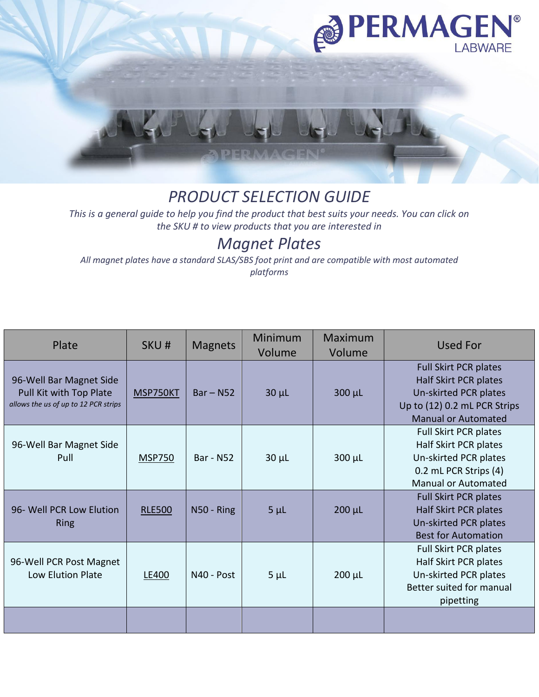

## *PRODUCT SELECTION GUIDE*

*This is a general guide to help you find the product that best suits your needs. You can click on the SKU # to view products that you are interested in*

## *Magnet Plates*

*All magnet plates have a standard SLAS/SBS foot print and are compatible with most automated platforms*

| Plate                                                                                      | SKU#          | <b>Magnets</b>   | Minimum<br>Volume | <b>Maximum</b><br>Volume | <b>Used For</b>                                                                                                                       |
|--------------------------------------------------------------------------------------------|---------------|------------------|-------------------|--------------------------|---------------------------------------------------------------------------------------------------------------------------------------|
| 96-Well Bar Magnet Side<br>Pull Kit with Top Plate<br>allows the us of up to 12 PCR strips | MSP750KT      | $Bar - N52$      | $30 \mu L$        | $300 \mu L$              | Full Skirt PCR plates<br>Half Skirt PCR plates<br>Un-skirted PCR plates<br>Up to (12) 0.2 mL PCR Strips<br><b>Manual or Automated</b> |
| 96-Well Bar Magnet Side<br>Pull                                                            | <b>MSP750</b> | <b>Bar - N52</b> | $30 \mu L$        | $300 \mu L$              | <b>Full Skirt PCR plates</b><br>Half Skirt PCR plates<br>Un-skirted PCR plates<br>0.2 mL PCR Strips (4)<br><b>Manual or Automated</b> |
| 96- Well PCR Low Elution<br><b>Ring</b>                                                    | <b>RLE500</b> | N50 - Ring       | $5 \mu L$         | $200 \mu L$              | <b>Full Skirt PCR plates</b><br>Half Skirt PCR plates<br>Un-skirted PCR plates<br><b>Best for Automation</b>                          |
| 96-Well PCR Post Magnet<br>Low Elution Plate                                               | LE400         | N40 - Post       | $5\mu$ L          | $200 \mu L$              | Full Skirt PCR plates<br>Half Skirt PCR plates<br>Un-skirted PCR plates<br>Better suited for manual<br>pipetting                      |
|                                                                                            |               |                  |                   |                          |                                                                                                                                       |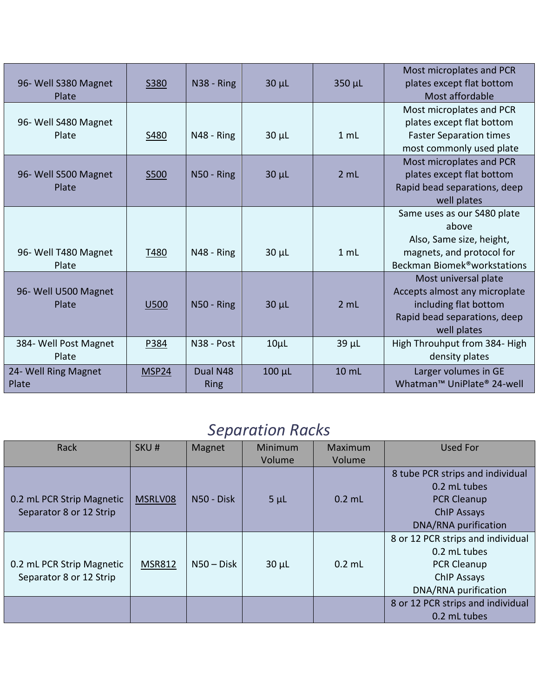| 96- Well S380 Magnet<br>Plate  | <b>S380</b> | N38 - Ring       | $30 \mu L$  | 350 µL     | Most microplates and PCR<br>plates except flat bottom<br>Most affordable                                                      |
|--------------------------------|-------------|------------------|-------------|------------|-------------------------------------------------------------------------------------------------------------------------------|
|                                |             |                  |             |            | Most microplates and PCR                                                                                                      |
| 96- Well S480 Magnet<br>Plate  | S480        | N48 - Ring       | $30 \mu L$  | 1 mL       | plates except flat bottom<br><b>Faster Separation times</b>                                                                   |
|                                |             |                  |             |            | most commonly used plate                                                                                                      |
| 96- Well S500 Magnet<br>Plate  | S500        | $N50 - Ring$     | $30 \mu L$  | 2 mL       | Most microplates and PCR<br>plates except flat bottom<br>Rapid bead separations, deep<br>well plates                          |
|                                |             |                  |             |            | Same uses as our S480 plate<br>above                                                                                          |
|                                |             |                  |             |            | Also, Same size, height,                                                                                                      |
| 96- Well T480 Magnet<br>Plate  | T480        | N48 - Ring       | $30 \mu L$  | 1 mL       | magnets, and protocol for<br>Beckman Biomek <sup>®</sup> workstations                                                         |
| 96- Well U500 Magnet<br>Plate  | <b>U500</b> | N50 - Ring       | $30 \mu L$  | 2 mL       | Most universal plate<br>Accepts almost any microplate<br>including flat bottom<br>Rapid bead separations, deep<br>well plates |
| 384- Well Post Magnet<br>Plate | P384        | N38 - Post       | $10\mu$ L   | $39 \mu L$ | High Throuhput from 384- High<br>density plates                                                                               |
| 24- Well Ring Magnet<br>Plate  | MSP24       | Dual N48<br>Ring | $100 \mu L$ | 10 mL      | Larger volumes in GE<br>Whatman™ UniPlate® 24-well                                                                            |

## *Separation Racks*

| Rack                      | SKU#          | Magnet       | Minimum    | Maximum  | Used For                          |
|---------------------------|---------------|--------------|------------|----------|-----------------------------------|
|                           |               |              | Volume     | Volume   |                                   |
|                           |               |              |            |          | 8 tube PCR strips and individual  |
|                           |               |              |            |          | 0.2 mL tubes                      |
| 0.2 mL PCR Strip Magnetic | MSRLV08       | N50 - Disk   | $5\mu$ L   | $0.2$ mL | <b>PCR Cleanup</b>                |
| Separator 8 or 12 Strip   |               |              |            |          | <b>ChIP Assays</b>                |
|                           |               |              |            |          | DNA/RNA purification              |
|                           |               |              |            |          | 8 or 12 PCR strips and individual |
|                           |               |              |            |          | 0.2 mL tubes                      |
| 0.2 mL PCR Strip Magnetic | <b>MSR812</b> | $N50 - Disk$ | $30 \mu L$ | $0.2$ mL | <b>PCR Cleanup</b>                |
| Separator 8 or 12 Strip   |               |              |            |          | <b>ChIP Assays</b>                |
|                           |               |              |            |          | DNA/RNA purification              |
|                           |               |              |            |          | 8 or 12 PCR strips and individual |
|                           |               |              |            |          | 0.2 mL tubes                      |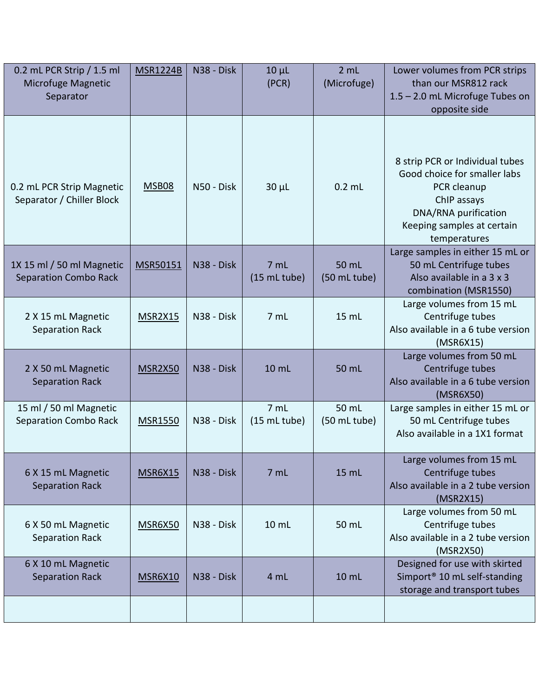| 0.2 mL PCR Strip / 1.5 ml<br>Microfuge Magnetic<br>Separator | <b>MSR1224B</b> | N38 - Disk | $10 \mu L$<br>(PCR)             | 2 mL<br>(Microfuge)   | Lower volumes from PCR strips<br>than our MSR812 rack<br>1.5 - 2.0 mL Microfuge Tubes on<br>opposite side                                                           |
|--------------------------------------------------------------|-----------------|------------|---------------------------------|-----------------------|---------------------------------------------------------------------------------------------------------------------------------------------------------------------|
| 0.2 mL PCR Strip Magnetic<br>Separator / Chiller Block       | <b>MSB08</b>    | N50 - Disk | $30 \mu L$                      | $0.2$ mL              | 8 strip PCR or Individual tubes<br>Good choice for smaller labs<br>PCR cleanup<br>ChIP assays<br>DNA/RNA purification<br>Keeping samples at certain<br>temperatures |
| 1X 15 ml / 50 ml Magnetic<br><b>Separation Combo Rack</b>    | MSR50151        | N38 - Disk | 7 mL<br>(15 mL tube)            | 50 mL<br>(50 mL tube) | Large samples in either 15 mL or<br>50 mL Centrifuge tubes<br>Also available in a 3 x 3<br>combination (MSR1550)                                                    |
| 2 X 15 mL Magnetic<br><b>Separation Rack</b>                 | MSR2X15         | N38 - Disk | 7 mL                            | 15 mL                 | Large volumes from 15 mL<br>Centrifuge tubes<br>Also available in a 6 tube version<br>(MSR6X15)                                                                     |
| 2 X 50 mL Magnetic<br><b>Separation Rack</b>                 | MSR2X50         | N38 - Disk | 10 mL                           | 50 mL                 | Large volumes from 50 mL<br>Centrifuge tubes<br>Also available in a 6 tube version<br>(MSR6X50)                                                                     |
| 15 ml / 50 ml Magnetic<br><b>Separation Combo Rack</b>       | <b>MSR1550</b>  | N38 - Disk | 7 <sub>mL</sub><br>(15 mL tube) | 50 mL<br>(50 mL tube) | Large samples in either 15 mL or<br>50 mL Centrifuge tubes<br>Also available in a 1X1 format                                                                        |
| 6 X 15 mL Magnetic<br><b>Separation Rack</b>                 | <b>MSR6X15</b>  | N38 - Disk | 7 mL                            | 15 mL                 | Large volumes from 15 mL<br>Centrifuge tubes<br>Also available in a 2 tube version<br>(MSR2X15)                                                                     |
| 6 X 50 mL Magnetic<br>Separation Rack                        | MSR6X50         | N38 - Disk | 10 mL                           | 50 mL                 | Large volumes from 50 mL<br>Centrifuge tubes<br>Also available in a 2 tube version<br>(MSR2X50)                                                                     |
| 6 X 10 mL Magnetic<br><b>Separation Rack</b>                 | <b>MSR6X10</b>  | N38 - Disk | 4 mL                            | 10 mL                 | Designed for use with skirted<br>Simport <sup>®</sup> 10 mL self-standing<br>storage and transport tubes                                                            |
|                                                              |                 |            |                                 |                       |                                                                                                                                                                     |